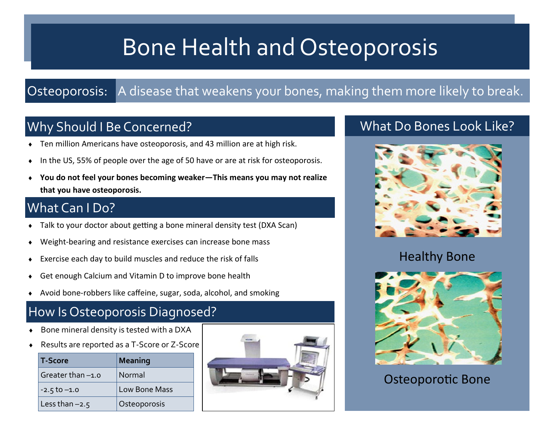# Bone Health and Osteoporosis

### Osteoporosis: A disease that weakens your bones, making them more likely to break.

# Why Should I Be Concerned?

- Ten million Americans have osteoporosis, and 43 million are at high risk.
- In the US, 55% of people over the age of 50 have or are at risk for osteoporosis.
- **You do not feel your bones becoming weaker—This means you may not realize that you have osteoporosis.**

### What Can I Do?

- Talk to your doctor about getting a bone mineral density test (DXA Scan)
- Weight-bearing and resistance exercises can increase bone mass
- Exercise each day to build muscles and reduce the risk of falls
- Get enough Calcium and Vitamin D to improve bone health
- Avoid bone-robbers like caffeine, sugar, soda, alcohol, and smoking

### How Is Osteoporosis Diagnosed?

- Bone mineral density is tested with a DXA
- Results are reported as a T-Score or Z-Score

| <b>T-Score</b>   | <b>Meaning</b> |
|------------------|----------------|
| Greater than-1.0 | Normal         |
| $-2.5$ to $-1.0$ | Low Bone Mass  |
| Less than $-2.5$ | Osteoporosis   |



### What Do Bones Look Like?



#### Healthy Bone



Osteoporotic Bone